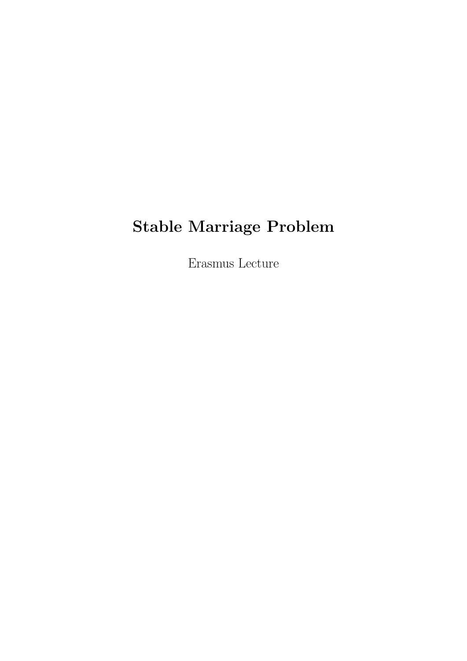# Stable Marriage Problem

Erasmus Lecture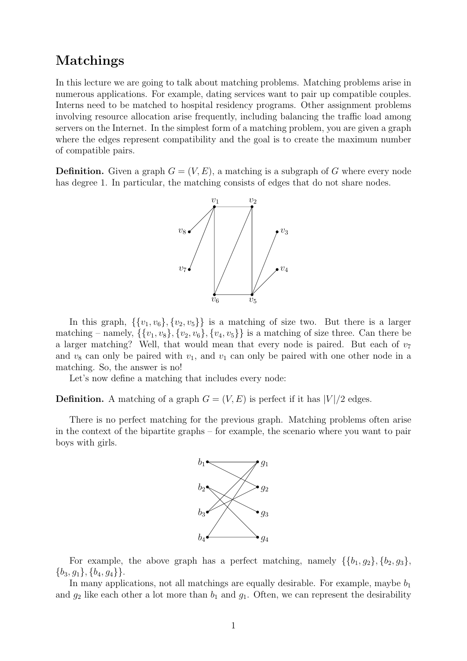# Matchings

In this lecture we are going to talk about matching problems. Matching problems arise in numerous applications. For example, dating services want to pair up compatible couples. Interns need to be matched to hospital residency programs. Other assignment problems involving resource allocation arise frequently, including balancing the traffic load among servers on the Internet. In the simplest form of a matching problem, you are given a graph where the edges represent compatibility and the goal is to create the maximum number of compatible pairs.

**Definition.** Given a graph  $G = (V, E)$ , a matching is a subgraph of G where every node has degree 1. In particular, the matching consists of edges that do not share nodes.



In this graph,  $\{\{v_1, v_6\}, \{v_2, v_5\}\}\$ is a matching of size two. But there is a larger matching – namely,  $\{\{v_1, v_8\}, \{v_2, v_6\}, \{v_4, v_5\}\}\$ is a matching of size three. Can there be a larger matching? Well, that would mean that every node is paired. But each of  $v_7$ and  $v_8$  can only be paired with  $v_1$ , and  $v_1$  can only be paired with one other node in a matching. So, the answer is no!

Let's now define a matching that includes every node:

**Definition.** A matching of a graph  $G = (V, E)$  is perfect if it has  $|V|/2$  edges.

There is no perfect matching for the previous graph. Matching problems often arise in the context of the bipartite graphs – for example, the scenario where you want to pair boys with girls.



For example, the above graph has a perfect matching, namely  $\{\{b_1, g_2\}, \{b_2, g_3\},\}$  $\{b_3, q_1\}, \{b_4, q_4\}\}.$ 

In many applications, not all matchings are equally desirable. For example, maybe  $b_1$ and  $g_2$  like each other a lot more than  $b_1$  and  $g_1$ . Often, we can represent the desirability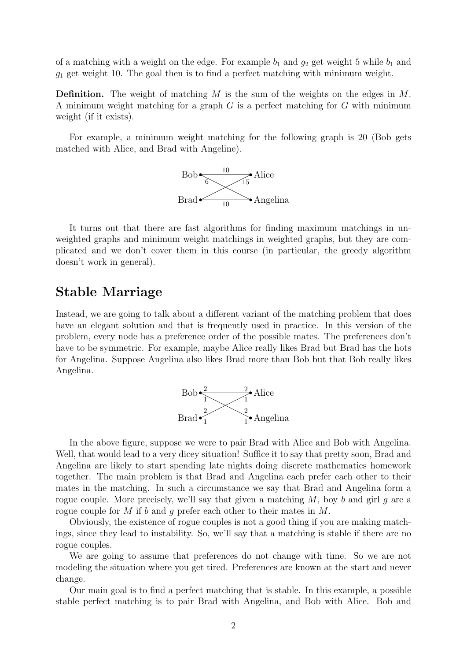of a matching with a weight on the edge. For example  $b_1$  and  $g_2$  get weight 5 while  $b_1$  and  $g_1$  get weight 10. The goal then is to find a perfect matching with minimum weight.

**Definition.** The weight of matching M is the sum of the weights on the edges in M. A minimum weight matching for a graph G is a perfect matching for G with minimum weight (if it exists).

For example, a minimum weight matching for the following graph is 20 (Bob gets matched with Alice, and Brad with Angeline).



It turns out that there are fast algorithms for finding maximum matchings in unweighted graphs and minimum weight matchings in weighted graphs, but they are complicated and we don't cover them in this course (in particular, the greedy algorithm doesn't work in general).

## Stable Marriage

Instead, we are going to talk about a different variant of the matching problem that does have an elegant solution and that is frequently used in practice. In this version of the problem, every node has a preference order of the possible mates. The preferences don't have to be symmetric. For example, maybe Alice really likes Brad but Brad has the hots for Angelina. Suppose Angelina also likes Brad more than Bob but that Bob really likes Angelina.



In the above figure, suppose we were to pair Brad with Alice and Bob with Angelina. Well, that would lead to a very dicey situation! Suffice it to say that pretty soon, Brad and Angelina are likely to start spending late nights doing discrete mathematics homework together. The main problem is that Brad and Angelina each prefer each other to their mates in the matching. In such a circumstance we say that Brad and Angelina form a rogue couple. More precisely, we'll say that given a matching  $M$ , boy  $b$  and girl  $g$  are a rogue couple for M if b and g prefer each other to their mates in M.

Obviously, the existence of rogue couples is not a good thing if you are making matchings, since they lead to instability. So, we'll say that a matching is stable if there are no rogue couples.

We are going to assume that preferences do not change with time. So we are not modeling the situation where you get tired. Preferences are known at the start and never change.

Our main goal is to find a perfect matching that is stable. In this example, a possible stable perfect matching is to pair Brad with Angelina, and Bob with Alice. Bob and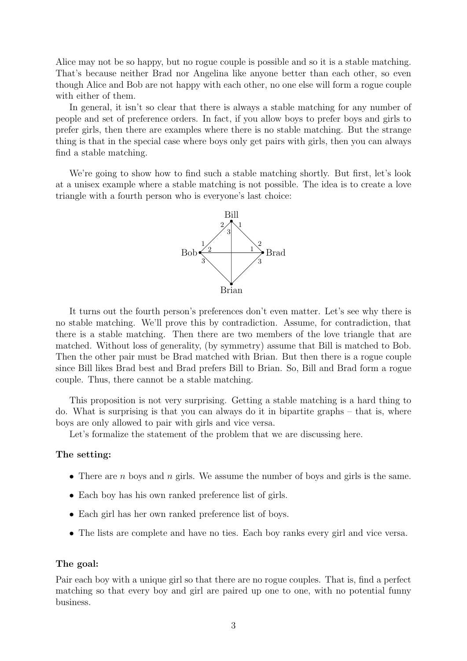Alice may not be so happy, but no rogue couple is possible and so it is a stable matching. That's because neither Brad nor Angelina like anyone better than each other, so even though Alice and Bob are not happy with each other, no one else will form a rogue couple with either of them.

In general, it isn't so clear that there is always a stable matching for any number of people and set of preference orders. In fact, if you allow boys to prefer boys and girls to prefer girls, then there are examples where there is no stable matching. But the strange thing is that in the special case where boys only get pairs with girls, then you can always find a stable matching.

We're going to show how to find such a stable matching shortly. But first, let's look at a unisex example where a stable matching is not possible. The idea is to create a love triangle with a fourth person who is everyone's last choice:



It turns out the fourth person's preferences don't even matter. Let's see why there is no stable matching. We'll prove this by contradiction. Assume, for contradiction, that there is a stable matching. Then there are two members of the love triangle that are matched. Without loss of generality, (by symmetry) assume that Bill is matched to Bob. Then the other pair must be Brad matched with Brian. But then there is a rogue couple since Bill likes Brad best and Brad prefers Bill to Brian. So, Bill and Brad form a rogue couple. Thus, there cannot be a stable matching.

This proposition is not very surprising. Getting a stable matching is a hard thing to do. What is surprising is that you can always do it in bipartite graphs – that is, where boys are only allowed to pair with girls and vice versa.

Let's formalize the statement of the problem that we are discussing here.

### The setting:

- There are *n* boys and *n* girls. We assume the number of boys and girls is the same.
- Each boy has his own ranked preference list of girls.
- Each girl has her own ranked preference list of boys.
- The lists are complete and have no ties. Each boy ranks every girl and vice versa.

#### The goal:

Pair each boy with a unique girl so that there are no rogue couples. That is, find a perfect matching so that every boy and girl are paired up one to one, with no potential funny business.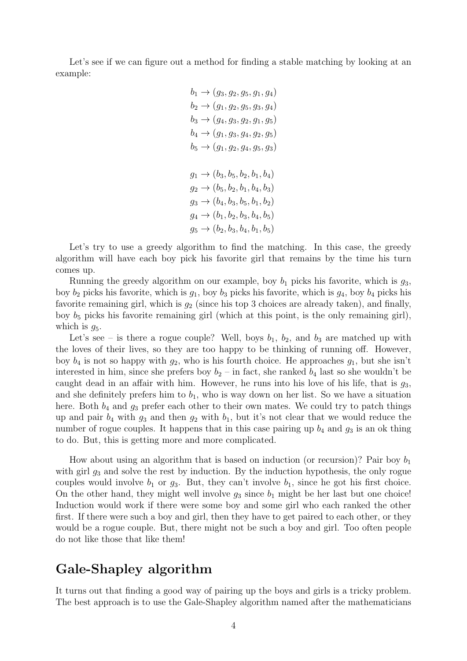Let's see if we can figure out a method for finding a stable matching by looking at an example:

$$
b_1 \rightarrow (g_3, g_2, g_5, g_1, g_4)
$$
  
\n
$$
b_2 \rightarrow (g_1, g_2, g_5, g_3, g_4)
$$
  
\n
$$
b_3 \rightarrow (g_4, g_3, g_2, g_1, g_5)
$$
  
\n
$$
b_4 \rightarrow (g_1, g_3, g_4, g_2, g_5)
$$
  
\n
$$
b_5 \rightarrow (g_1, g_2, g_4, g_5, g_3)
$$
  
\n
$$
g_1 \rightarrow (b_3, b_5, b_2, b_1, b_4)
$$
  
\n
$$
g_2 \rightarrow (b_5, b_2, b_1, b_4, b_3)
$$
  
\n
$$
g_3 \rightarrow (b_4, b_3, b_5, b_1, b_2)
$$
  
\n
$$
g_4 \rightarrow (b_1, b_2, b_3, b_4, b_5)
$$
  
\n
$$
g_5 \rightarrow (b_2, b_3, b_4, b_1, b_5)
$$

Let's try to use a greedy algorithm to find the matching. In this case, the greedy algorithm will have each boy pick his favorite girl that remains by the time his turn comes up.

Running the greedy algorithm on our example, boy  $b_1$  picks his favorite, which is  $g_3$ , boy  $b_2$  picks his favorite, which is  $g_1$ , boy  $b_3$  picks his favorite, which is  $g_4$ , boy  $b_4$  picks his favorite remaining girl, which is  $g_2$  (since his top 3 choices are already taken), and finally, boy  $b_5$  picks his favorite remaining girl (which at this point, is the only remaining girl), which is  $q_5$ .

Let's see – is there a rogue couple? Well, boys  $b_1$ ,  $b_2$ , and  $b_3$  are matched up with the loves of their lives, so they are too happy to be thinking of running off. However, boy  $b_4$  is not so happy with  $g_2$ , who is his fourth choice. He approaches  $g_1$ , but she isn't interested in him, since she prefers boy  $b_2$  – in fact, she ranked  $b_4$  last so she wouldn't be caught dead in an affair with him. However, he runs into his love of his life, that is  $g_3$ , and she definitely prefers him to  $b_1$ , who is way down on her list. So we have a situation here. Both  $b_4$  and  $g_3$  prefer each other to their own mates. We could try to patch things up and pair  $b_4$  with  $g_3$  and then  $g_2$  with  $b_1$ , but it's not clear that we would reduce the number of rogue couples. It happens that in this case pairing up  $b_4$  and  $g_3$  is an ok thing to do. But, this is getting more and more complicated.

How about using an algorithm that is based on induction (or recursion)? Pair boy  $b_1$ with girl  $g_3$  and solve the rest by induction. By the induction hypothesis, the only rogue couples would involve  $b_1$  or  $g_3$ . But, they can't involve  $b_1$ , since he got his first choice. On the other hand, they might well involve  $g_3$  since  $b_1$  might be her last but one choice! Induction would work if there were some boy and some girl who each ranked the other first. If there were such a boy and girl, then they have to get paired to each other, or they would be a rogue couple. But, there might not be such a boy and girl. Too often people do not like those that like them!

# Gale-Shapley algorithm

It turns out that finding a good way of pairing up the boys and girls is a tricky problem. The best approach is to use the Gale-Shapley algorithm named after the mathematicians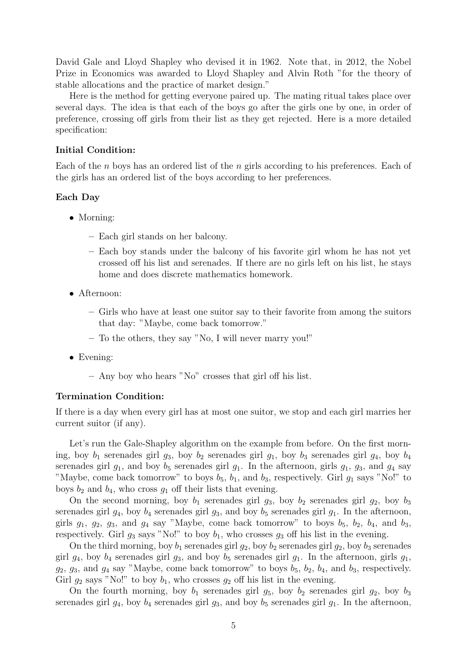David Gale and Lloyd Shapley who devised it in 1962. Note that, in 2012, the Nobel Prize in Economics was awarded to Lloyd Shapley and Alvin Roth "for the theory of stable allocations and the practice of market design."

Here is the method for getting everyone paired up. The mating ritual takes place over several days. The idea is that each of the boys go after the girls one by one, in order of preference, crossing off girls from their list as they get rejected. Here is a more detailed specification:

### Initial Condition:

Each of the n boys has an ordered list of the n girls according to his preferences. Each of the girls has an ordered list of the boys according to her preferences.

### Each Day

- Morning:
	- Each girl stands on her balcony.
	- Each boy stands under the balcony of his favorite girl whom he has not yet crossed off his list and serenades. If there are no girls left on his list, he stays home and does discrete mathematics homework.
- Afternoon:
	- Girls who have at least one suitor say to their favorite from among the suitors that day: "Maybe, come back tomorrow."
	- To the others, they say "No, I will never marry you!"
- Evening:
	- Any boy who hears "No" crosses that girl off his list.

### Termination Condition:

If there is a day when every girl has at most one suitor, we stop and each girl marries her current suitor (if any).

Let's run the Gale-Shapley algorithm on the example from before. On the first morning, boy  $b_1$  serenades girl  $g_3$ , boy  $b_2$  serenades girl  $g_1$ , boy  $b_3$  serenades girl  $g_4$ , boy  $b_4$ serenades girl  $g_1$ , and boy  $b_5$  serenades girl  $g_1$ . In the afternoon, girls  $g_1$ ,  $g_3$ , and  $g_4$  say "Maybe, come back tomorrow" to boys  $b_5$ ,  $b_1$ , and  $b_3$ , respectively. Girl  $g_1$  says "No!" to boys  $b_2$  and  $b_4$ , who cross  $g_1$  off their lists that evening.

On the second morning, boy  $b_1$  serenades girl  $g_3$ , boy  $b_2$  serenades girl  $g_2$ , boy  $b_3$ serenades girl  $q_4$ , boy  $b_4$  serenades girl  $q_3$ , and boy  $b_5$  serenades girl  $q_1$ . In the afternoon, girls  $g_1$ ,  $g_2$ ,  $g_3$ , and  $g_4$  say "Maybe, come back tomorrow" to boys  $b_5$ ,  $b_2$ ,  $b_4$ , and  $b_3$ , respectively. Girl  $g_3$  says "No!" to boy  $b_1$ , who crosses  $g_3$  off his list in the evening.

On the third morning, boy  $b_1$  serenades girl  $g_2$ , boy  $b_2$  serenades girl  $g_2$ , boy  $b_3$  serenades girl  $g_4$ , boy  $b_4$  serenades girl  $g_3$ , and boy  $b_5$  serenades girl  $g_1$ . In the afternoon, girls  $g_1$ ,  $g_2, g_3$ , and  $g_4$  say "Maybe, come back tomorrow" to boys  $b_5, b_2, b_4$ , and  $b_3$ , respectively. Girl  $g_2$  says "No!" to boy  $b_1$ , who crosses  $g_2$  off his list in the evening.

On the fourth morning, boy  $b_1$  serenades girl  $g_5$ , boy  $b_2$  serenades girl  $g_2$ , boy  $b_3$ serenades girl  $g_4$ , boy  $b_4$  serenades girl  $g_3$ , and boy  $b_5$  serenades girl  $g_1$ . In the afternoon,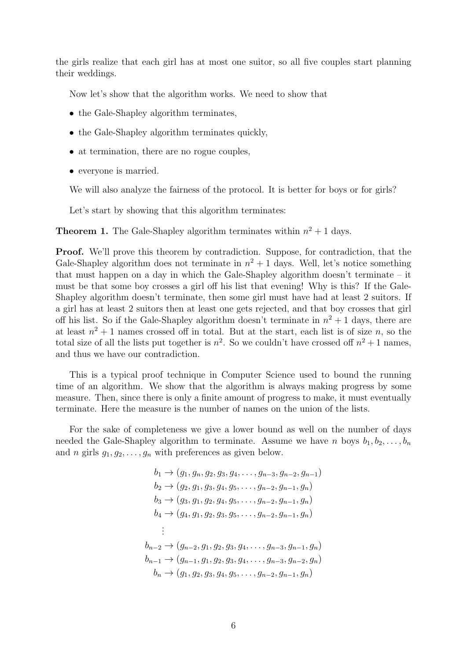the girls realize that each girl has at most one suitor, so all five couples start planning their weddings.

Now let's show that the algorithm works. We need to show that

- the Gale-Shapley algorithm terminates,
- the Gale-Shapley algorithm terminates quickly,
- at termination, there are no rogue couples,
- everyone is married.

We will also analyze the fairness of the protocol. It is better for boys or for girls?

Let's start by showing that this algorithm terminates:

**Theorem 1.** The Gale-Shapley algorithm terminates within  $n^2 + 1$  days.

Proof. We'll prove this theorem by contradiction. Suppose, for contradiction, that the Gale-Shapley algorithm does not terminate in  $n^2 + 1$  days. Well, let's notice something that must happen on a day in which the Gale-Shapley algorithm doesn't terminate – it must be that some boy crosses a girl off his list that evening! Why is this? If the Gale-Shapley algorithm doesn't terminate, then some girl must have had at least 2 suitors. If a girl has at least 2 suitors then at least one gets rejected, and that boy crosses that girl off his list. So if the Gale-Shapley algorithm doesn't terminate in  $n^2 + 1$  days, there are at least  $n^2 + 1$  names crossed off in total. But at the start, each list is of size n, so the total size of all the lists put together is  $n^2$ . So we couldn't have crossed off  $n^2 + 1$  names, and thus we have our contradiction.

This is a typical proof technique in Computer Science used to bound the running time of an algorithm. We show that the algorithm is always making progress by some measure. Then, since there is only a finite amount of progress to make, it must eventually terminate. Here the measure is the number of names on the union of the lists.

For the sake of completeness we give a lower bound as well on the number of days needed the Gale-Shapley algorithm to terminate. Assume we have n boys  $b_1, b_2, \ldots, b_n$ and *n* girls  $g_1, g_2, \ldots, g_n$  with preferences as given below.

$$
b_1 \rightarrow (g_1, g_n, g_2, g_3, g_4, \dots, g_{n-3}, g_{n-2}, g_{n-1})
$$
  
\n
$$
b_2 \rightarrow (g_2, g_1, g_3, g_4, g_5, \dots, g_{n-2}, g_{n-1}, g_n)
$$
  
\n
$$
b_3 \rightarrow (g_3, g_1, g_2, g_4, g_5, \dots, g_{n-2}, g_{n-1}, g_n)
$$
  
\n
$$
b_4 \rightarrow (g_4, g_1, g_2, g_3, g_5, \dots, g_{n-2}, g_{n-1}, g_n)
$$
  
\n:  
\n:  
\n:  
\n
$$
b_{n-2} \rightarrow (g_{n-2}, g_1, g_2, g_3, g_4, \dots, g_{n-3}, g_{n-1}, g_n)
$$
  
\n
$$
b_{n-1} \rightarrow (g_{n-1}, g_1, g_2, g_3, g_4, \dots, g_{n-3}, g_{n-2}, g_n)
$$
  
\n
$$
b_n \rightarrow (g_1, g_2, g_3, g_4, g_5, \dots, g_{n-2}, g_{n-1}, g_n)
$$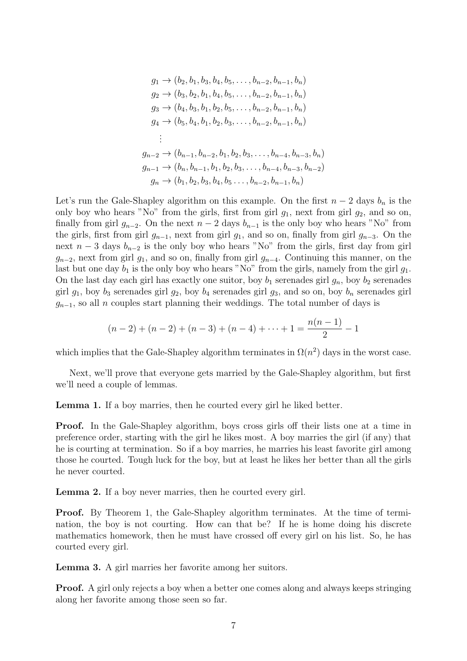$$
g_1 \rightarrow (b_2, b_1, b_3, b_4, b_5, \dots, b_{n-2}, b_{n-1}, b_n)
$$
  
\n
$$
g_2 \rightarrow (b_3, b_2, b_1, b_4, b_5, \dots, b_{n-2}, b_{n-1}, b_n)
$$
  
\n
$$
g_3 \rightarrow (b_4, b_3, b_1, b_2, b_5, \dots, b_{n-2}, b_{n-1}, b_n)
$$
  
\n
$$
g_4 \rightarrow (b_5, b_4, b_1, b_2, b_3, \dots, b_{n-2}, b_{n-1}, b_n)
$$
  
\n:  
\n:  
\n
$$
g_{n-2} \rightarrow (b_{n-1}, b_{n-2}, b_1, b_2, b_3, \dots, b_{n-4}, b_{n-3}, b_n)
$$
  
\n
$$
g_{n-1} \rightarrow (b_n, b_{n-1}, b_1, b_2, b_3, \dots, b_{n-4}, b_{n-3}, b_{n-2})
$$
  
\n
$$
g_n \rightarrow (b_1, b_2, b_3, b_4, b_5 \dots, b_{n-2}, b_{n-1}, b_n)
$$

Let's run the Gale-Shapley algorithm on this example. On the first  $n-2$  days  $b_n$  is the only boy who hears "No" from the girls, first from girl  $q_1$ , next from girl  $q_2$ , and so on, finally from girl  $g_{n-2}$ . On the next  $n-2$  days  $b_{n-1}$  is the only boy who hears "No" from the girls, first from girl  $g_{n-1}$ , next from girl  $g_1$ , and so on, finally from girl  $g_{n-3}$ . On the next  $n-3$  days  $b_{n-2}$  is the only boy who hears "No" from the girls, first day from girl  $g_{n-2}$ , next from girl  $g_1$ , and so on, finally from girl  $g_{n-4}$ . Continuing this manner, on the last but one day  $b_1$  is the only boy who hears "No" from the girls, namely from the girl  $g_1$ . On the last day each girl has exactly one suitor, boy  $b_1$  serenades girl  $g_n$ , boy  $b_2$  serenades girl  $g_1$ , boy  $b_3$  serenades girl  $g_2$ , boy  $b_4$  serenades girl  $g_3$ , and so on, boy  $b_n$  serenades girl  $g_{n-1}$ , so all n couples start planning their weddings. The total number of days is

$$
(n-2) + (n-2) + (n-3) + (n-4) + \dots + 1 = \frac{n(n-1)}{2} - 1
$$

which implies that the Gale-Shapley algorithm terminates in  $\Omega(n^2)$  days in the worst case.

Next, we'll prove that everyone gets married by the Gale-Shapley algorithm, but first we'll need a couple of lemmas.

Lemma 1. If a boy marries, then he courted every girl he liked better.

Proof. In the Gale-Shapley algorithm, boys cross girls off their lists one at a time in preference order, starting with the girl he likes most. A boy marries the girl (if any) that he is courting at termination. So if a boy marries, he marries his least favorite girl among those he courted. Tough luck for the boy, but at least he likes her better than all the girls he never courted.

Lemma 2. If a boy never marries, then he courted every girl.

Proof. By Theorem 1, the Gale-Shapley algorithm terminates. At the time of termination, the boy is not courting. How can that be? If he is home doing his discrete mathematics homework, then he must have crossed off every girl on his list. So, he has courted every girl.

Lemma 3. A girl marries her favorite among her suitors.

Proof. A girl only rejects a boy when a better one comes along and always keeps stringing along her favorite among those seen so far.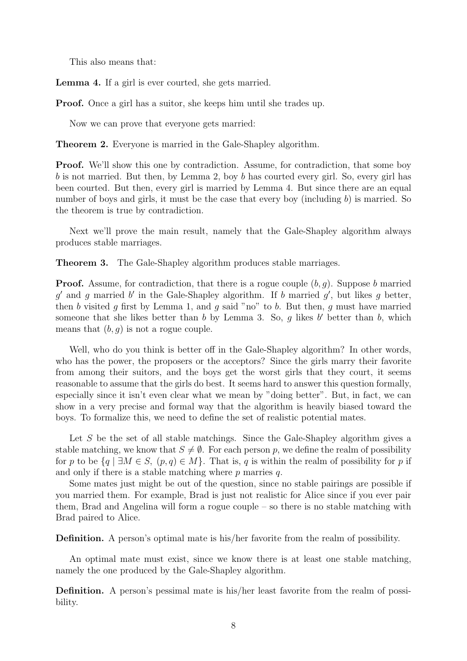This also means that:

Lemma 4. If a girl is ever courted, she gets married.

Proof. Once a girl has a suitor, she keeps him until she trades up.

Now we can prove that everyone gets married:

Theorem 2. Everyone is married in the Gale-Shapley algorithm.

**Proof.** We'll show this one by contradiction. Assume, for contradiction, that some boy b is not married. But then, by Lemma 2, boy b has courted every girl. So, every girl has been courted. But then, every girl is married by Lemma 4. But since there are an equal number of boys and girls, it must be the case that every boy (including  $b$ ) is married. So the theorem is true by contradiction.

Next we'll prove the main result, namely that the Gale-Shapley algorithm always produces stable marriages.

Theorem 3. The Gale-Shapley algorithm produces stable marriages.

**Proof.** Assume, for contradiction, that there is a rogue couple  $(b, q)$ . Suppose b married  $g'$  and g married b' in the Gale-Shapley algorithm. If b married  $g'$ , but likes g better, then b visited g first by Lemma 1, and g said "no" to b. But then, g must have married someone that she likes better than  $b$  by Lemma 3. So,  $g$  likes  $b'$  better than  $b$ , which means that  $(b, g)$  is not a rogue couple.

Well, who do you think is better off in the Gale-Shapley algorithm? In other words, who has the power, the proposers or the acceptors? Since the girls marry their favorite from among their suitors, and the boys get the worst girls that they court, it seems reasonable to assume that the girls do best. It seems hard to answer this question formally, especially since it isn't even clear what we mean by "doing better". But, in fact, we can show in a very precise and formal way that the algorithm is heavily biased toward the boys. To formalize this, we need to define the set of realistic potential mates.

Let S be the set of all stable matchings. Since the Gale-Shapley algorithm gives a stable matching, we know that  $S \neq \emptyset$ . For each person p, we define the realm of possibility for p to be  $\{q \mid \exists M \in S, (p,q) \in M\}$ . That is, q is within the realm of possibility for p if and only if there is a stable matching where  $p$  marries  $q$ .

Some mates just might be out of the question, since no stable pairings are possible if you married them. For example, Brad is just not realistic for Alice since if you ever pair them, Brad and Angelina will form a rogue couple – so there is no stable matching with Brad paired to Alice.

Definition. A person's optimal mate is his/her favorite from the realm of possibility.

An optimal mate must exist, since we know there is at least one stable matching, namely the one produced by the Gale-Shapley algorithm.

Definition. A person's pessimal mate is his/her least favorite from the realm of possibility.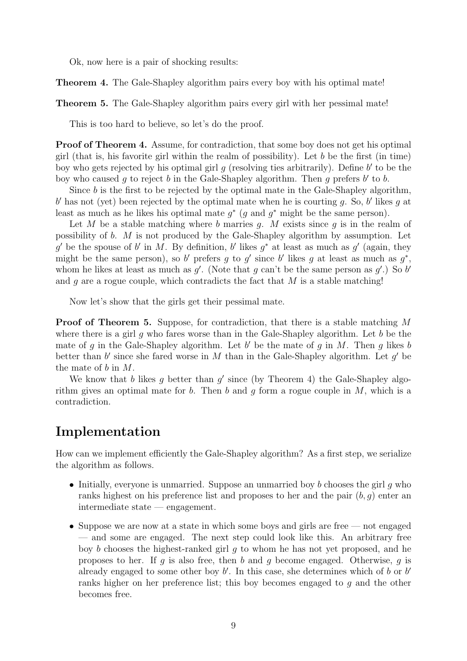Ok, now here is a pair of shocking results:

Theorem 4. The Gale-Shapley algorithm pairs every boy with his optimal mate!

Theorem 5. The Gale-Shapley algorithm pairs every girl with her pessimal mate!

This is too hard to believe, so let's do the proof.

Proof of Theorem 4. Assume, for contradiction, that some boy does not get his optimal girl (that is, his favorite girl within the realm of possibility). Let  $b$  be the first (in time) boy who gets rejected by his optimal girl  $g$  (resolving ties arbitrarily). Define  $b'$  to be the boy who caused g to reject b in the Gale-Shapley algorithm. Then g prefers  $b'$  to b.

Since  $b$  is the first to be rejected by the optimal mate in the Gale-Shapley algorithm,  $b'$  has not (yet) been rejected by the optimal mate when he is courting g. So,  $b'$  likes g at least as much as he likes his optimal mate  $g^*$  (g and  $g^*$  might be the same person).

Let M be a stable matching where b marries g. M exists since g is in the realm of possibility of b. M is not produced by the Gale-Shapley algorithm by assumption. Let g' be the spouse of b' in M. By definition, b' likes  $g^*$  at least as much as  $g'$  (again, they might be the same person), so b' prefers g to g' since b' likes g at least as much as  $g^*$ , whom he likes at least as much as  $g'$ . (Note that g can't be the same person as  $g'$ .) So b' and q are a rogue couple, which contradicts the fact that  $M$  is a stable matching!

Now let's show that the girls get their pessimal mate.

Proof of Theorem 5. Suppose, for contradiction, that there is a stable matching M where there is a girl q who fares worse than in the Gale-Shapley algorithm. Let b be the mate of g in the Gale-Shapley algorithm. Let  $b'$  be the mate of g in M. Then g likes b better than  $b'$  since she fared worse in  $M$  than in the Gale-Shapley algorithm. Let  $g'$  be the mate of b in M.

We know that b likes g better than  $g'$  since (by Theorem 4) the Gale-Shapley algorithm gives an optimal mate for b. Then b and q form a rogue couple in  $M$ , which is a contradiction.

# Implementation

How can we implement efficiently the Gale-Shapley algorithm? As a first step, we serialize the algorithm as follows.

- Initially, everyone is unmarried. Suppose an unmarried boy  $b$  chooses the girl  $q$  who ranks highest on his preference list and proposes to her and the pair  $(b, q)$  enter and intermediate state — engagement.
- Suppose we are now at a state in which some boys and girls are free not engaged — and some are engaged. The next step could look like this. An arbitrary free boy b chooses the highest-ranked girl g to whom he has not yet proposed, and he proposes to her. If q is also free, then b and q become engaged. Otherwise, q is already engaged to some other boy  $b'$ . In this case, she determines which of  $b$  or  $b'$ ranks higher on her preference list; this boy becomes engaged to g and the other becomes free.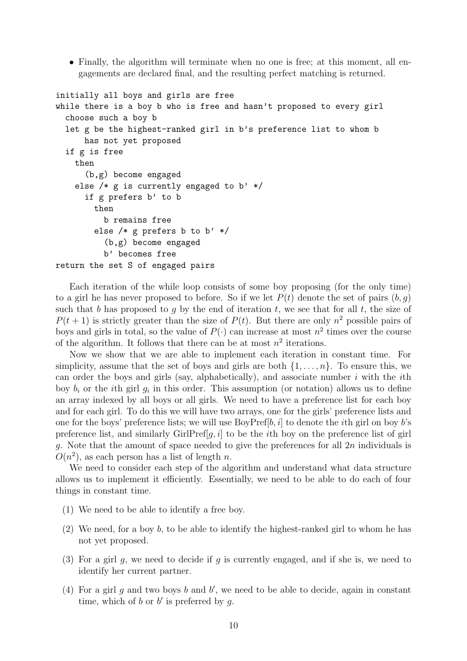• Finally, the algorithm will terminate when no one is free; at this moment, all engagements are declared final, and the resulting perfect matching is returned.

```
initially all boys and girls are free
while there is a boy b who is free and hasn't proposed to every girl
  choose such a boy b
  let g be the highest-ranked girl in b's preference list to whom b
      has not yet proposed
  if g is free
    then
      (b,g) become engaged
    else /* g is currently engaged to b' */
      if g prefers b' to b
        then
          b remains free
        else /* g prefers b to b' */(b,g) become engaged
          b' becomes free
return the set S of engaged pairs
```
Each iteration of the while loop consists of some boy proposing (for the only time) to a girl he has never proposed to before. So if we let  $P(t)$  denote the set of pairs  $(b, q)$ such that b has proposed to g by the end of iteration t, we see that for all t, the size of  $P(t + 1)$  is strictly greater than the size of  $P(t)$ . But there are only  $n^2$  possible pairs of boys and girls in total, so the value of  $P(\cdot)$  can increase at most  $n^2$  times over the course of the algorithm. It follows that there can be at most  $n^2$  iterations.

Now we show that we are able to implement each iteration in constant time. For simplicity, assume that the set of boys and girls are both  $\{1, \ldots, n\}$ . To ensure this, we can order the boys and girls (say, alphabetically), and associate number  $i$  with the  $i$ th boy  $b_i$  or the *i*th girl  $g_i$  in this order. This assumption (or notation) allows us to define an array indexed by all boys or all girls. We need to have a preference list for each boy and for each girl. To do this we will have two arrays, one for the girls' preference lists and one for the boys' preference lists; we will use  $\text{BoyPref}[b, i]$  to denote the *i*th girl on boy *b*'s preference list, and similarly GirlPref[q, i] to be the ith boy on the preference list of girl g. Note that the amount of space needed to give the preferences for all  $2n$  individuals is  $O(n^2)$ , as each person has a list of length n.

We need to consider each step of the algorithm and understand what data structure allows us to implement it efficiently. Essentially, we need to be able to do each of four things in constant time.

- (1) We need to be able to identify a free boy.
- (2) We need, for a boy b, to be able to identify the highest-ranked girl to whom he has not yet proposed.
- (3) For a girl g, we need to decide if g is currently engaged, and if she is, we need to identify her current partner.
- (4) For a girl  $g$  and two boys  $b$  and  $b'$ , we need to be able to decide, again in constant time, which of  $b$  or  $b'$  is preferred by  $g$ .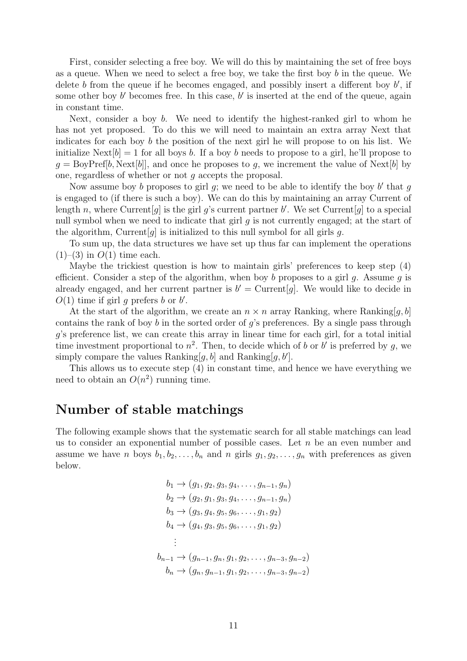First, consider selecting a free boy. We will do this by maintaining the set of free boys as a queue. When we need to select a free boy, we take the first boy b in the queue. We delete  $b$  from the queue if he becomes engaged, and possibly insert a different boy  $b'$ , if some other boy  $b'$  becomes free. In this case,  $b'$  is inserted at the end of the queue, again in constant time.

Next, consider a boy  $b$ . We need to identify the highest-ranked girl to whom he has not yet proposed. To do this we will need to maintain an extra array Next that indicates for each boy b the position of the next girl he will propose to on his list. We initialize  $\text{Next}[b] = 1$  for all boys b. If a boy b needs to propose to a girl, he'll propose to  $g = BoyPref[b, Next[b]]$ , and once he proposes to g, we increment the value of Next[b] by one, regardless of whether or not g accepts the proposal.

Now assume boy b proposes to girl  $g$ ; we need to be able to identify the boy b' that  $g$ is engaged to (if there is such a boy). We can do this by maintaining an array Current of length n, where Current  $[g]$  is the girl g's current partner b'. We set Current  $[g]$  to a special null symbol when we need to indicate that girl  $q$  is not currently engaged; at the start of the algorithm, Current  $[g]$  is initialized to this null symbol for all girls g.

To sum up, the data structures we have set up thus far can implement the operations  $(1)$ – $(3)$  in  $O(1)$  time each.

Maybe the trickiest question is how to maintain girls' preferences to keep step (4) efficient. Consider a step of the algorithm, when boy b proposes to a girl  $g$ . Assume  $g$  is already engaged, and her current partner is  $b' =$  Current  $[g]$ . We would like to decide in  $O(1)$  time if girl g prefers b or b'.

At the start of the algorithm, we create an  $n \times n$  array Ranking, where Ranking[g, b] contains the rank of boy b in the sorted order of  $q$ 's preferences. By a single pass through g's preference list, we can create this array in linear time for each girl, for a total initial time investment proportional to  $n^2$ . Then, to decide which of b or b' is preferred by g, we simply compare the values Ranking [g, b] and Ranking [g, b'].

This allows us to execute step (4) in constant time, and hence we have everything we need to obtain an  $O(n^2)$  running time.

# Number of stable matchings

The following example shows that the systematic search for all stable matchings can lead us to consider an exponential number of possible cases. Let  $n$  be an even number and assume we have n boys  $b_1, b_2, \ldots, b_n$  and n girls  $g_1, g_2, \ldots, g_n$  with preferences as given below.

$$
b_1 \rightarrow (g_1, g_2, g_3, g_4, \dots, g_{n-1}, g_n)
$$
  
\n
$$
b_2 \rightarrow (g_2, g_1, g_3, g_4, \dots, g_{n-1}, g_n)
$$
  
\n
$$
b_3 \rightarrow (g_3, g_4, g_5, g_6, \dots, g_1, g_2)
$$
  
\n
$$
b_4 \rightarrow (g_4, g_3, g_5, g_6, \dots, g_1, g_2)
$$
  
\n:  
\n:  
\n:  
\n
$$
b_{n-1} \rightarrow (g_{n-1}, g_n, g_1, g_2, \dots, g_{n-3}, g_{n-2})
$$
  
\n
$$
b_n \rightarrow (g_n, g_{n-1}, g_1, g_2, \dots, g_{n-3}, g_{n-2})
$$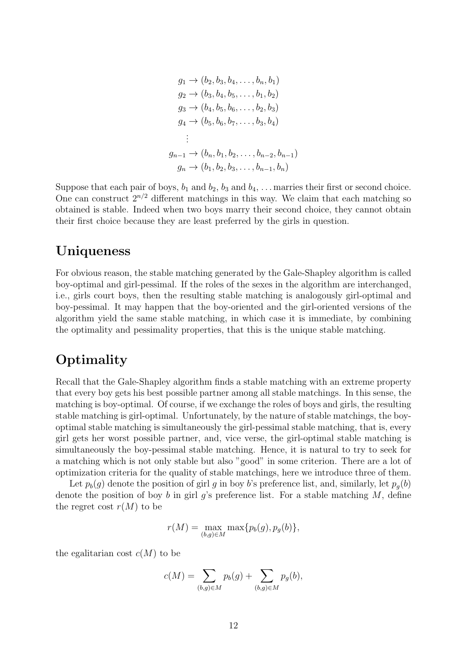$$
g_1 \rightarrow (b_2, b_3, b_4, \dots, b_n, b_1)
$$
  
\n
$$
g_2 \rightarrow (b_3, b_4, b_5, \dots, b_1, b_2)
$$
  
\n
$$
g_3 \rightarrow (b_4, b_5, b_6, \dots, b_2, b_3)
$$
  
\n
$$
g_4 \rightarrow (b_5, b_6, b_7, \dots, b_3, b_4)
$$
  
\n:  
\n:  
\n
$$
g_{n-1} \rightarrow (b_n, b_1, b_2, \dots, b_{n-2}, b_{n-1})
$$
  
\n
$$
g_n \rightarrow (b_1, b_2, b_3, \dots, b_{n-1}, b_n)
$$

Suppose that each pair of boys,  $b_1$  and  $b_2$ ,  $b_3$  and  $b_4$ , ... marries their first or second choice. One can construct  $2^{n/2}$  different matchings in this way. We claim that each matching so obtained is stable. Indeed when two boys marry their second choice, they cannot obtain their first choice because they are least preferred by the girls in question.

## Uniqueness

For obvious reason, the stable matching generated by the Gale-Shapley algorithm is called boy-optimal and girl-pessimal. If the roles of the sexes in the algorithm are interchanged, i.e., girls court boys, then the resulting stable matching is analogously girl-optimal and boy-pessimal. It may happen that the boy-oriented and the girl-oriented versions of the algorithm yield the same stable matching, in which case it is immediate, by combining the optimality and pessimality properties, that this is the unique stable matching.

# **Optimality**

Recall that the Gale-Shapley algorithm finds a stable matching with an extreme property that every boy gets his best possible partner among all stable matchings. In this sense, the matching is boy-optimal. Of course, if we exchange the roles of boys and girls, the resulting stable matching is girl-optimal. Unfortunately, by the nature of stable matchings, the boyoptimal stable matching is simultaneously the girl-pessimal stable matching, that is, every girl gets her worst possible partner, and, vice verse, the girl-optimal stable matching is simultaneously the boy-pessimal stable matching. Hence, it is natural to try to seek for a matching which is not only stable but also "good" in some criterion. There are a lot of optimization criteria for the quality of stable matchings, here we introduce three of them.

Let  $p_b(g)$  denote the position of girl g in boy b's preference list, and, similarly, let  $p_a(b)$ denote the position of boy b in girl  $g$ 's preference list. For a stable matching M, define the regret cost  $r(M)$  to be

$$
r(M) = \max_{(b,g)\in M} \max\{p_b(g), p_g(b)\},\
$$

the egalitarian cost  $c(M)$  to be

$$
c(M) = \sum_{(b,g)\in M} p_b(g) + \sum_{(b,g)\in M} p_g(b),
$$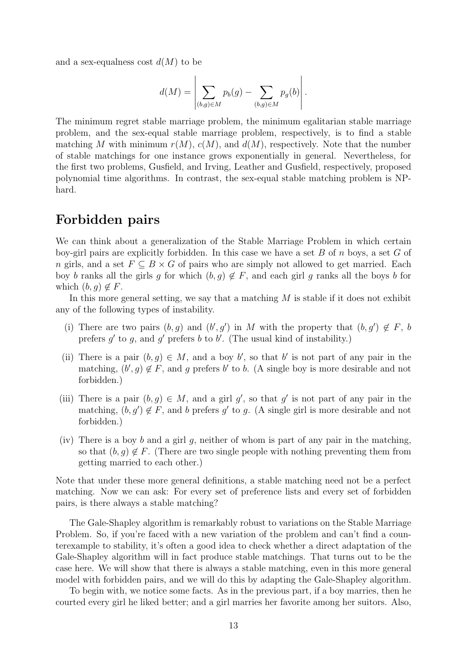and a sex-equalness cost  $d(M)$  to be

$$
d(M) = \left| \sum_{(b,g)\in M} p_b(g) - \sum_{(b,g)\in M} p_g(b) \right|.
$$

The minimum regret stable marriage problem, the minimum egalitarian stable marriage problem, and the sex-equal stable marriage problem, respectively, is to find a stable matching M with minimum  $r(M)$ ,  $c(M)$ , and  $d(M)$ , respectively. Note that the number of stable matchings for one instance grows exponentially in general. Nevertheless, for the first two problems, Gusfield, and Irving, Leather and Gusfield, respectively, proposed polynomial time algorithms. In contrast, the sex-equal stable matching problem is NPhard.

# Forbidden pairs

We can think about a generalization of the Stable Marriage Problem in which certain boy-girl pairs are explicitly forbidden. In this case we have a set  $B$  of  $n$  boys, a set  $G$  of n girls, and a set  $F \subseteq B \times G$  of pairs who are simply not allowed to get married. Each boy b ranks all the girls g for which  $(b, g) \notin F$ , and each girl g ranks all the boys b for which  $(b, g) \notin F$ .

In this more general setting, we say that a matching  $M$  is stable if it does not exhibit any of the following types of instability.

- (i) There are two pairs  $(b, g)$  and  $(b', g')$  in M with the property that  $(b, g') \notin F$ , b prefers  $g'$  to  $g$ , and  $g'$  prefers  $b$  to  $b'$ . (The usual kind of instability.)
- (ii) There is a pair  $(b, g) \in M$ , and a boy b', so that b' is not part of any pair in the matching,  $(b', g) \notin F$ , and g prefers b' to b. (A single boy is more desirable and not forbidden.)
- (iii) There is a pair  $(b, g) \in M$ , and a girl g', so that g' is not part of any pair in the matching,  $(b, g') \notin F$ , and b prefers g' to g. (A single girl is more desirable and not forbidden.)
- (iv) There is a boy b and a girl g, neither of whom is part of any pair in the matching, so that  $(b, q) \notin F$ . (There are two single people with nothing preventing them from getting married to each other.)

Note that under these more general definitions, a stable matching need not be a perfect matching. Now we can ask: For every set of preference lists and every set of forbidden pairs, is there always a stable matching?

The Gale-Shapley algorithm is remarkably robust to variations on the Stable Marriage Problem. So, if you're faced with a new variation of the problem and can't find a counterexample to stability, it's often a good idea to check whether a direct adaptation of the Gale-Shapley algorithm will in fact produce stable matchings. That turns out to be the case here. We will show that there is always a stable matching, even in this more general model with forbidden pairs, and we will do this by adapting the Gale-Shapley algorithm.

To begin with, we notice some facts. As in the previous part, if a boy marries, then he courted every girl he liked better; and a girl marries her favorite among her suitors. Also,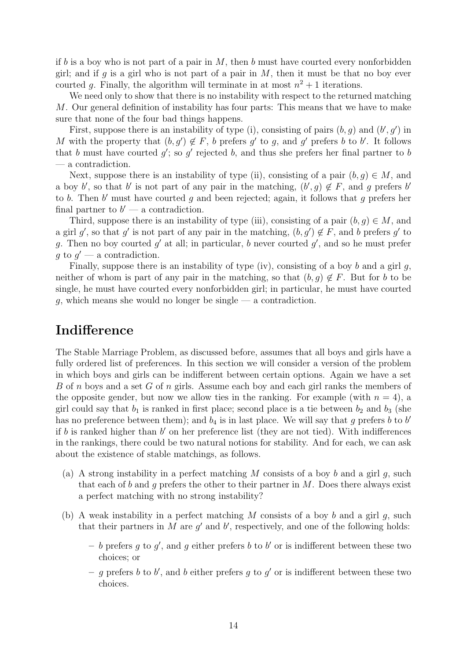if b is a boy who is not part of a pair in  $M$ , then b must have courted every nonforbidden girl; and if q is a girl who is not part of a pair in  $M$ , then it must be that no boy ever courted g. Finally, the algorithm will terminate in at most  $n^2 + 1$  iterations.

We need only to show that there is no instability with respect to the returned matching M. Our general definition of instability has four parts: This means that we have to make sure that none of the four bad things happens.

First, suppose there is an instability of type (i), consisting of pairs  $(b, g)$  and  $(b', g')$  in M with the property that  $(b, g') \notin F$ , b prefers g' to g, and g' prefers b to b'. It follows that b must have courted  $g'$ ; so  $g'$  rejected b, and thus she prefers her final partner to b — a contradiction.

Next, suppose there is an instability of type (ii), consisting of a pair  $(b, q) \in M$ , and a boy b', so that b' is not part of any pair in the matching,  $(b', g) \notin F$ , and g prefers b' to b. Then  $b'$  must have courted g and been rejected; again, it follows that g prefers her final partner to  $b'$  — a contradiction.

Third, suppose there is an instability of type (iii), consisting of a pair  $(b, q) \in M$ , and a girl g', so that g' is not part of any pair in the matching,  $(b, g') \notin F$ , and b prefers g' to g. Then no boy courted  $g'$  at all; in particular, b never courted  $g'$ , and so he must prefer  $g$  to  $g'$  — a contradiction.

Finally, suppose there is an instability of type (iv), consisting of a boy b and a girl q, neither of whom is part of any pair in the matching, so that  $(b, g) \notin F$ . But for b to be single, he must have courted every nonforbidden girl; in particular, he must have courted  $g$ , which means she would no longer be single — a contradiction.

# Indifference

The Stable Marriage Problem, as discussed before, assumes that all boys and girls have a fully ordered list of preferences. In this section we will consider a version of the problem in which boys and girls can be indifferent between certain options. Again we have a set B of n boys and a set G of n girls. Assume each boy and each girl ranks the members of the opposite gender, but now we allow ties in the ranking. For example (with  $n = 4$ ), a girl could say that  $b_1$  is ranked in first place; second place is a tie between  $b_2$  and  $b_3$  (she has no preference between them); and  $b_4$  is in last place. We will say that g prefers b to b if  $b$  is ranked higher than  $b'$  on her preference list (they are not tied). With indifferences in the rankings, there could be two natural notions for stability. And for each, we can ask about the existence of stable matchings, as follows.

- (a) A strong instability in a perfect matching M consists of a boy b and a girl  $g$ , such that each of b and g prefers the other to their partner in  $M$ . Does there always exist a perfect matching with no strong instability?
- (b) A weak instability in a perfect matching M consists of a boy b and a girl  $g$ , such that their partners in  $M$  are  $g'$  and  $b'$ , respectively, and one of the following holds:
	- b prefers g to g', and g either prefers b to b' or is indifferent between these two choices; or
	- g prefers b to b', and b either prefers g to g' or is indifferent between these two choices.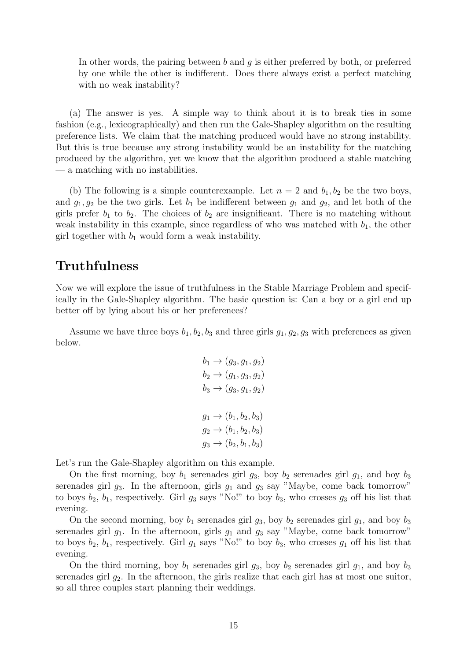In other words, the pairing between b and q is either preferred by both, or preferred by one while the other is indifferent. Does there always exist a perfect matching with no weak instability?

(a) The answer is yes. A simple way to think about it is to break ties in some fashion (e.g., lexicographically) and then run the Gale-Shapley algorithm on the resulting preference lists. We claim that the matching produced would have no strong instability. But this is true because any strong instability would be an instability for the matching produced by the algorithm, yet we know that the algorithm produced a stable matching — a matching with no instabilities.

(b) The following is a simple counterexample. Let  $n = 2$  and  $b_1, b_2$  be the two boys, and  $g_1, g_2$  be the two girls. Let  $b_1$  be indifferent between  $g_1$  and  $g_2$ , and let both of the girls prefer  $b_1$  to  $b_2$ . The choices of  $b_2$  are insignificant. There is no matching without weak instability in this example, since regardless of who was matched with  $b_1$ , the other girl together with  $b_1$  would form a weak instability.

# **Truthfulness**

Now we will explore the issue of truthfulness in the Stable Marriage Problem and specifically in the Gale-Shapley algorithm. The basic question is: Can a boy or a girl end up better off by lying about his or her preferences?

Assume we have three boys  $b_1, b_2, b_3$  and three girls  $g_1, g_2, g_3$  with preferences as given below.

$$
b_1 \to (g_3, g_1, g_2)
$$
  
\n
$$
b_2 \to (g_1, g_3, g_2)
$$
  
\n
$$
b_3 \to (g_3, g_1, g_2)
$$
  
\n
$$
g_1 \to (b_1, b_2, b_3)
$$
  
\n
$$
g_2 \to (b_1, b_2, b_3)
$$
  
\n
$$
g_3 \to (b_2, b_1, b_3)
$$

Let's run the Gale-Shapley algorithm on this example.

On the first morning, boy  $b_1$  serenades girl  $g_3$ , boy  $b_2$  serenades girl  $g_1$ , and boy  $b_3$ serenades girl  $g_3$ . In the afternoon, girls  $g_1$  and  $g_3$  say "Maybe, come back tomorrow" to boys  $b_2$ ,  $b_1$ , respectively. Girl  $g_3$  says "No!" to boy  $b_3$ , who crosses  $g_3$  off his list that evening.

On the second morning, boy  $b_1$  serenades girl  $g_3$ , boy  $b_2$  serenades girl  $g_1$ , and boy  $b_3$ serenades girl  $g_1$ . In the afternoon, girls  $g_1$  and  $g_3$  say "Maybe, come back tomorrow" to boys  $b_2$ ,  $b_1$ , respectively. Girl  $g_1$  says "No!" to boy  $b_3$ , who crosses  $g_1$  off his list that evening.

On the third morning, boy  $b_1$  serenades girl  $g_3$ , boy  $b_2$  serenades girl  $g_1$ , and boy  $b_3$ serenades girl  $g_2$ . In the afternoon, the girls realize that each girl has at most one suitor, so all three couples start planning their weddings.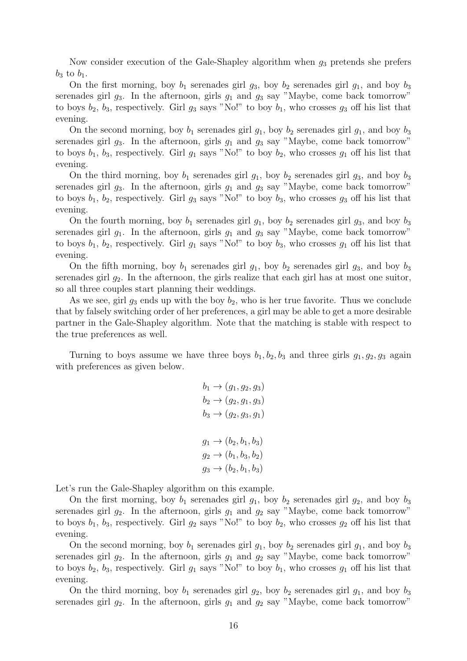Now consider execution of the Gale-Shapley algorithm when  $g_3$  pretends she prefers  $b_3$  to  $b_1$ .

On the first morning, boy  $b_1$  serenades girl  $g_3$ , boy  $b_2$  serenades girl  $g_1$ , and boy  $b_3$ serenades girl  $g_3$ . In the afternoon, girls  $g_1$  and  $g_3$  say "Maybe, come back tomorrow" to boys  $b_2$ ,  $b_3$ , respectively. Girl  $g_3$  says "No!" to boy  $b_1$ , who crosses  $g_3$  off his list that evening.

On the second morning, boy  $b_1$  serenades girl  $g_1$ , boy  $b_2$  serenades girl  $g_1$ , and boy  $b_3$ serenades girl  $g_3$ . In the afternoon, girls  $g_1$  and  $g_3$  say "Maybe, come back tomorrow" to boys  $b_1$ ,  $b_3$ , respectively. Girl  $g_1$  says "No!" to boy  $b_2$ , who crosses  $g_1$  off his list that evening.

On the third morning, boy  $b_1$  serenades girl  $g_1$ , boy  $b_2$  serenades girl  $g_3$ , and boy  $b_3$ serenades girl  $g_3$ . In the afternoon, girls  $g_1$  and  $g_3$  say "Maybe, come back tomorrow" to boys  $b_1$ ,  $b_2$ , respectively. Girl  $g_3$  says "No!" to boy  $b_3$ , who crosses  $g_3$  off his list that evening.

On the fourth morning, boy  $b_1$  serenades girl  $g_1$ , boy  $b_2$  serenades girl  $g_3$ , and boy  $b_3$ serenades girl  $g_1$ . In the afternoon, girls  $g_1$  and  $g_3$  say "Maybe, come back tomorrow" to boys  $b_1$ ,  $b_2$ , respectively. Girl  $g_1$  says "No!" to boy  $b_3$ , who crosses  $g_1$  off his list that evening.

On the fifth morning, boy  $b_1$  serenades girl  $g_1$ , boy  $b_2$  serenades girl  $g_3$ , and boy  $b_3$ serenades girl  $g_2$ . In the afternoon, the girls realize that each girl has at most one suitor, so all three couples start planning their weddings.

As we see, girl  $g_3$  ends up with the boy  $b_2$ , who is her true favorite. Thus we conclude that by falsely switching order of her preferences, a girl may be able to get a more desirable partner in the Gale-Shapley algorithm. Note that the matching is stable with respect to the true preferences as well.

Turning to boys assume we have three boys  $b_1, b_2, b_3$  and three girls  $g_1, g_2, g_3$  again with preferences as given below.

$$
b_1 \to (g_1, g_2, g_3)
$$
  
\n
$$
b_2 \to (g_2, g_1, g_3)
$$
  
\n
$$
b_3 \to (g_2, g_3, g_1)
$$
  
\n
$$
g_1 \to (b_2, b_1, b_3)
$$
  
\n
$$
g_2 \to (b_1, b_3, b_2)
$$
  
\n
$$
g_3 \to (b_2, b_1, b_3)
$$

Let's run the Gale-Shapley algorithm on this example.

On the first morning, boy  $b_1$  serenades girl  $g_1$ , boy  $b_2$  serenades girl  $g_2$ , and boy  $b_3$ serenades girl  $g_2$ . In the afternoon, girls  $g_1$  and  $g_2$  say "Maybe, come back tomorrow" to boys  $b_1$ ,  $b_3$ , respectively. Girl  $g_2$  says "No!" to boy  $b_2$ , who crosses  $g_2$  off his list that evening.

On the second morning, boy  $b_1$  serenades girl  $q_1$ , boy  $b_2$  serenades girl  $q_1$ , and boy  $b_3$ serenades girl  $g_2$ . In the afternoon, girls  $g_1$  and  $g_2$  say "Maybe, come back tomorrow" to boys  $b_2$ ,  $b_3$ , respectively. Girl  $g_1$  says "No!" to boy  $b_1$ , who crosses  $g_1$  off his list that evening.

On the third morning, boy  $b_1$  serenades girl  $q_2$ , boy  $b_2$  serenades girl  $q_1$ , and boy  $b_3$ serenades girl  $g_2$ . In the afternoon, girls  $g_1$  and  $g_2$  say "Maybe, come back tomorrow"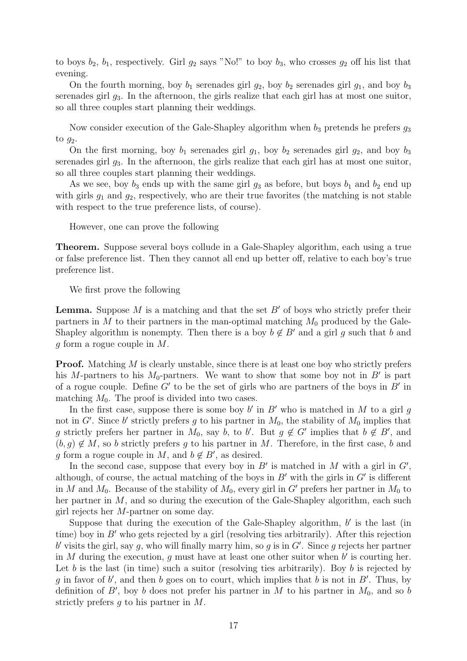to boys  $b_2$ ,  $b_1$ , respectively. Girl  $g_2$  says "No!" to boy  $b_3$ , who crosses  $g_2$  off his list that evening.

On the fourth morning, boy  $b_1$  serenades girl  $g_2$ , boy  $b_2$  serenades girl  $g_1$ , and boy  $b_3$ serenades girl  $g_3$ . In the afternoon, the girls realize that each girl has at most one suitor, so all three couples start planning their weddings.

Now consider execution of the Gale-Shapley algorithm when  $b_3$  pretends he prefers  $g_3$ to  $g_2$ .

On the first morning, boy  $b_1$  serenades girl  $g_1$ , boy  $b_2$  serenades girl  $g_2$ , and boy  $b_3$ serenades girl  $g_3$ . In the afternoon, the girls realize that each girl has at most one suitor, so all three couples start planning their weddings.

As we see, boy  $b_3$  ends up with the same girl  $g_3$  as before, but boys  $b_1$  and  $b_2$  end up with girls  $g_1$  and  $g_2$ , respectively, who are their true favorites (the matching is not stable with respect to the true preference lists, of course).

However, one can prove the following

Theorem. Suppose several boys collude in a Gale-Shapley algorithm, each using a true or false preference list. Then they cannot all end up better off, relative to each boy's true preference list.

We first prove the following

**Lemma.** Suppose M is a matching and that the set  $B'$  of boys who strictly prefer their partners in M to their partners in the man-optimal matching  $M_0$  produced by the Gale-Shapley algorithm is nonempty. Then there is a boy  $b \notin B'$  and a girl q such that b and g form a rogue couple in M.

**Proof.** Matching  $M$  is clearly unstable, since there is at least one boy who strictly prefers his M-partners to his  $M_0$ -partners. We want to show that some boy not in  $B'$  is part of a rogue couple. Define  $G'$  to be the set of girls who are partners of the boys in  $B'$  in matching  $M_0$ . The proof is divided into two cases.

In the first case, suppose there is some boy  $b'$  in  $B'$  who is matched in M to a girl g not in G'. Since b' strictly prefers g to his partner in  $M_0$ , the stability of  $M_0$  implies that g strictly prefers her partner in  $M_0$ , say b, to b'. But  $g \notin G'$  implies that  $b \notin B'$ , and  $(b, q) \notin M$ , so b strictly prefers g to his partner in M. Therefore, in the first case, b and g form a rogue couple in M, and  $b \notin B'$ , as desired.

In the second case, suppose that every boy in  $B'$  is matched in M with a girl in  $G'$ , although, of course, the actual matching of the boys in  $B'$  with the girls in  $G'$  is different in M and  $M_0$ . Because of the stability of  $M_0$ , every girl in G' prefers her partner in  $M_0$  to her partner in M, and so during the execution of the Gale-Shapley algorithm, each such girl rejects her M-partner on some day.

Suppose that during the execution of the Gale-Shapley algorithm,  $b'$  is the last (in time) boy in  $B'$  who gets rejected by a girl (resolving ties arbitrarily). After this rejection b' visits the girl, say g, who will finally marry him, so g is in  $G'$ . Since g rejects her partner in M during the execution,  $g$  must have at least one other suitor when  $b'$  is courting her. Let b is the last (in time) such a suitor (resolving ties arbitrarily). Boy b is rejected by g in favor of b', and then b goes on to court, which implies that b is not in  $B'$ . Thus, by definition of  $B'$ , boy b does not prefer his partner in M to his partner in  $M_0$ , and so b strictly prefers  $g$  to his partner in  $M$ .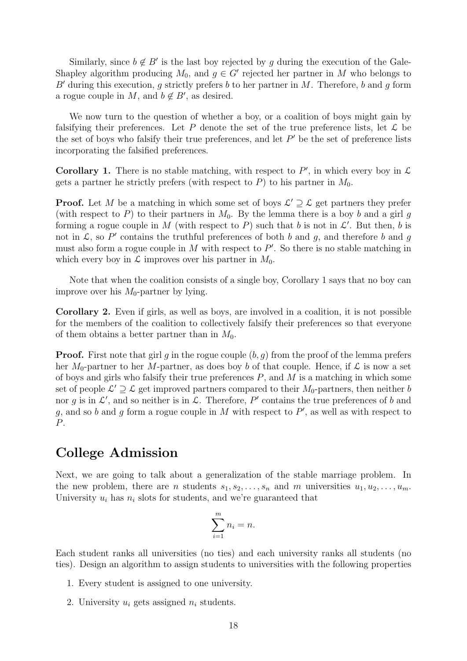Similarly, since  $b \notin B'$  is the last boy rejected by g during the execution of the Gale-Shapley algorithm producing  $M_0$ , and  $g \in G'$  rejected her partner in M who belongs to B' during this execution, q strictly prefers b to her partner in M. Therefore, b and q form a rogue couple in M, and  $b \notin B'$ , as desired.

We now turn to the question of whether a boy, or a coalition of boys might gain by falsifying their preferences. Let P denote the set of the true preference lists, let  $\mathcal L$  be the set of boys who falsify their true preferences, and let  $P'$  be the set of preference lists incorporating the falsified preferences.

**Corollary 1.** There is no stable matching, with respect to  $P'$ , in which every boy in  $\mathcal{L}$ gets a partner he strictly prefers (with respect to  $P$ ) to his partner in  $M_0$ .

**Proof.** Let M be a matching in which some set of boys  $\mathcal{L}' \supseteq \mathcal{L}$  get partners they prefer (with respect to P) to their partners in  $M_0$ . By the lemma there is a boy b and a girl g forming a rogue couple in M (with respect to P) such that b is not in  $\mathcal{L}'$ . But then, b is not in  $\mathcal{L}$ , so P' contains the truthful preferences of both b and g, and therefore b and g must also form a rogue couple in  $M$  with respect to  $P'$ . So there is no stable matching in which every boy in  $\mathcal L$  improves over his partner in  $M_0$ .

Note that when the coalition consists of a single boy, Corollary 1 says that no boy can improve over his  $M_0$ -partner by lying.

Corollary 2. Even if girls, as well as boys, are involved in a coalition, it is not possible for the members of the coalition to collectively falsify their preferences so that everyone of them obtains a better partner than in  $M_0$ .

**Proof.** First note that girl g in the rogue couple  $(b, g)$  from the proof of the lemma prefers her  $M_0$ -partner to her M-partner, as does boy b of that couple. Hence, if  $\mathcal L$  is now a set of boys and girls who falsify their true preferences  $P$ , and  $M$  is a matching in which some set of people  $\mathcal{L}' \supseteq \mathcal{L}$  get improved partners compared to their  $M_0$ -partners, then neither b nor g is in  $\mathcal{L}'$ , and so neither is in  $\mathcal{L}$ . Therefore, P' contains the true preferences of b and g, and so b and g form a rogue couple in M with respect to  $P'$ , as well as with respect to P.

# College Admission

Next, we are going to talk about a generalization of the stable marriage problem. In the new problem, there are *n* students  $s_1, s_2, \ldots, s_n$  and *m* universities  $u_1, u_2, \ldots, u_m$ . University  $u_i$  has  $n_i$  slots for students, and we're guaranteed that

$$
\sum_{i=1}^{m} n_i = n.
$$

Each student ranks all universities (no ties) and each university ranks all students (no ties). Design an algorithm to assign students to universities with the following properties

- 1. Every student is assigned to one university.
- 2. University  $u_i$  gets assigned  $n_i$  students.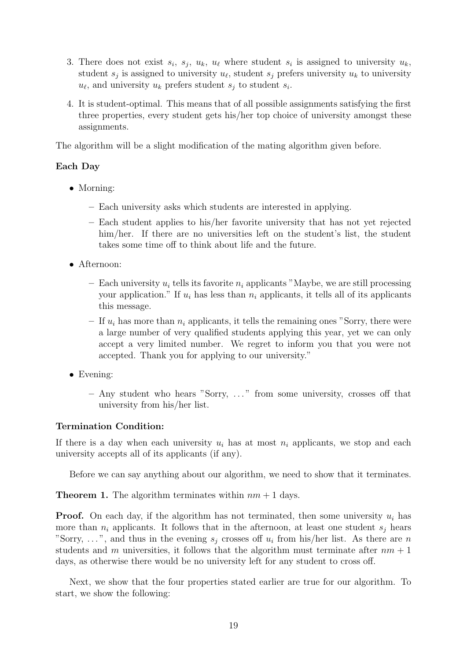- 3. There does not exist  $s_i$ ,  $s_j$ ,  $u_k$ ,  $u_\ell$  where student  $s_i$  is assigned to university  $u_k$ , student  $s_j$  is assigned to university  $u_\ell$ , student  $s_j$  prefers university  $u_k$  to university  $u_{\ell}$ , and university  $u_k$  prefers student  $s_j$  to student  $s_i$ .
- 4. It is student-optimal. This means that of all possible assignments satisfying the first three properties, every student gets his/her top choice of university amongst these assignments.

The algorithm will be a slight modification of the mating algorithm given before.

### Each Day

- Morning:
	- Each university asks which students are interested in applying.
	- Each student applies to his/her favorite university that has not yet rejected him/her. If there are no universities left on the student's list, the student takes some time off to think about life and the future.
- Afternoon:
	- Each university  $u_i$  tells its favorite  $n_i$  applicants "Maybe, we are still processing your application." If  $u_i$  has less than  $n_i$  applicants, it tells all of its applicants this message.
	- If  $u_i$  has more than  $n_i$  applicants, it tells the remaining ones "Sorry, there were a large number of very qualified students applying this year, yet we can only accept a very limited number. We regret to inform you that you were not accepted. Thank you for applying to our university."
- Evening:
	- Any student who hears "Sorry, . . . " from some university, crosses off that university from his/her list.

### Termination Condition:

If there is a day when each university  $u_i$  has at most  $n_i$  applicants, we stop and each university accepts all of its applicants (if any).

Before we can say anything about our algorithm, we need to show that it terminates.

**Theorem 1.** The algorithm terminates within  $nm + 1$  days.

**Proof.** On each day, if the algorithm has not terminated, then some university  $u_i$  has more than  $n_i$  applicants. It follows that in the afternoon, at least one student  $s_i$  hears "Sorry, ...", and thus in the evening  $s_j$  crosses off  $u_i$  from his/her list. As there are n students and m universities, it follows that the algorithm must terminate after  $nm + 1$ days, as otherwise there would be no university left for any student to cross off.

Next, we show that the four properties stated earlier are true for our algorithm. To start, we show the following: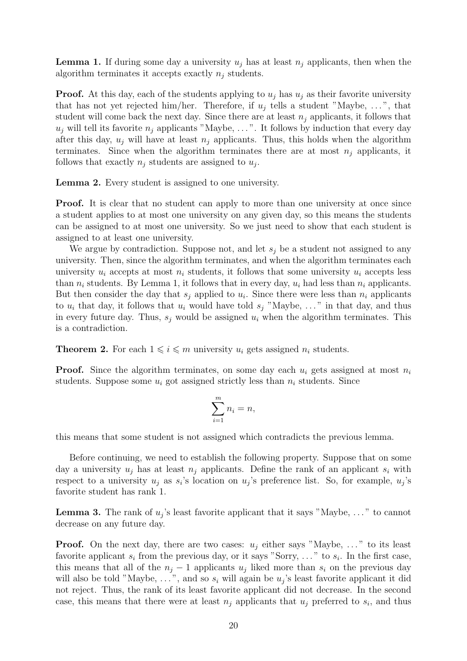**Lemma 1.** If during some day a university  $u_i$  has at least  $n_i$  applicants, then when the algorithm terminates it accepts exactly  $n_i$  students.

**Proof.** At this day, each of the students applying to  $u_j$  has  $u_j$  as their favorite university that has not yet rejected him/her. Therefore, if  $u_j$  tells a student "Maybe, ...", that student will come back the next day. Since there are at least  $n_i$  applicants, it follows that  $u_j$  will tell its favorite  $n_j$  applicants "Maybe, ...". It follows by induction that every day after this day,  $u_j$  will have at least  $n_j$  applicants. Thus, this holds when the algorithm terminates. Since when the algorithm terminates there are at most  $n_i$  applicants, it follows that exactly  $n_j$  students are assigned to  $u_j$ .

Lemma 2. Every student is assigned to one university.

**Proof.** It is clear that no student can apply to more than one university at once since a student applies to at most one university on any given day, so this means the students can be assigned to at most one university. So we just need to show that each student is assigned to at least one university.

We argue by contradiction. Suppose not, and let  $s_j$  be a student not assigned to any university. Then, since the algorithm terminates, and when the algorithm terminates each university  $u_i$  accepts at most  $n_i$  students, it follows that some university  $u_i$  accepts less than  $n_i$  students. By Lemma 1, it follows that in every day,  $u_i$  had less than  $n_i$  applicants. But then consider the day that  $s_j$  applied to  $u_i$ . Since there were less than  $n_i$  applicants to  $u_i$  that day, it follows that  $u_i$  would have told  $s_j$  "Maybe, ..." in that day, and thus in every future day. Thus,  $s_i$  would be assigned  $u_i$  when the algorithm terminates. This is a contradiction.

**Theorem 2.** For each  $1 \leq i \leq m$  university  $u_i$  gets assigned  $n_i$  students.

**Proof.** Since the algorithm terminates, on some day each  $u_i$  gets assigned at most  $n_i$ students. Suppose some  $u_i$  got assigned strictly less than  $n_i$  students. Since

$$
\sum_{i=1}^{m} n_i = n,
$$

this means that some student is not assigned which contradicts the previous lemma.

Before continuing, we need to establish the following property. Suppose that on some day a university  $u_i$  has at least  $n_i$  applicants. Define the rank of an applicant  $s_i$  with respect to a university  $u_j$  as  $s_i$ 's location on  $u_j$ 's preference list. So, for example,  $u_j$ 's favorite student has rank 1.

**Lemma 3.** The rank of  $u_j$ 's least favorite applicant that it says "Maybe, ..." to cannot decrease on any future day.

**Proof.** On the next day, there are two cases:  $u_i$  either says "Maybe, ..." to its least favorite applicant  $s_i$  from the previous day, or it says "Sorry, ..." to  $s_i$ . In the first case, this means that all of the  $n_j - 1$  applicants  $u_j$  liked more than  $s_i$  on the previous day will also be told "Maybe, ...", and so  $s_i$  will again be  $u_j$ 's least favorite applicant it did not reject. Thus, the rank of its least favorite applicant did not decrease. In the second case, this means that there were at least  $n_j$  applicants that  $u_j$  preferred to  $s_i$ , and thus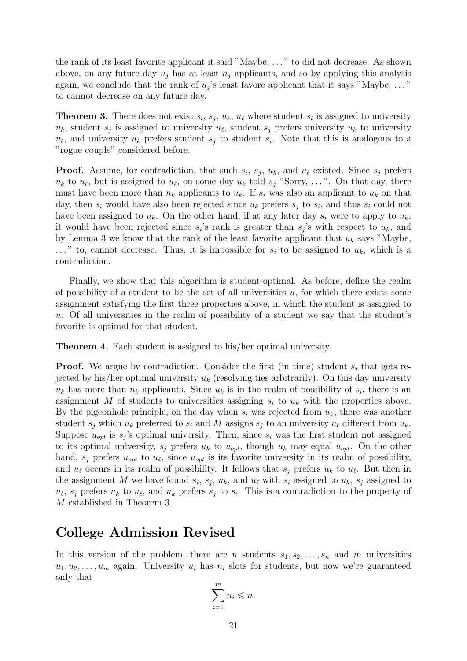the rank of its least favorite applicant it said "Maybe, . . . " to did not decrease. As shown above, on any future day  $u_j$  has at least  $n_j$  applicants, and so by applying this analysis again, we conclude that the rank of  $u_j$ 's least favore applicant that it says "Maybe, ..." to cannot decrease on any future day.

**Theorem 3.** There does not exist  $s_i$ ,  $s_j$ ,  $u_k$ ,  $u_\ell$  where student  $s_i$  is assigned to university  $u_k$ , student  $s_j$  is assigned to university  $u_\ell$ , student  $s_j$  prefers university  $u_k$  to university  $u_{\ell}$ , and university  $u_k$  prefers student  $s_j$  to student  $s_i$ . Note that this is analogous to a "rogue couple" considered before.

**Proof.** Assume, for contradiction, that such  $s_i$ ,  $s_j$ ,  $u_k$ , and  $u_\ell$  existed. Since  $s_j$  prefers  $u_k$  to  $u_\ell$ , but is assigned to  $u_\ell$ , on some day  $u_k$  told  $s_j$  "Sorry, ...". On that day, there must have been more than  $n_k$  applicants to  $u_k$ . If  $s_i$  was also an applicant to  $u_k$  on that day, then  $s_i$  would have also been rejected since  $u_k$  prefers  $s_j$  to  $s_i$ , and thus  $s_i$  could not have been assigned to  $u_k$ . On the other hand, if at any later day  $s_i$  were to apply to  $u_k$ , it would have been rejected since  $s_i$ 's rank is greater than  $s_j$ 's with respect to  $u_k$ , and by Lemma 3 we know that the rank of the least favorite applicant that  $u_k$  says "Maybe,  $\ldots$ " to, cannot decrease. Thus, it is impossible for  $s_i$  to be assigned to  $u_k$ , which is a contradiction.

Finally, we show that this algorithm is student-optimal. As before, define the realm of possibility of a student to be the set of all universities  $u$ , for which there exists some assignment satisfying the first three properties above, in which the student is assigned to u. Of all universities in the realm of possibility of a student we say that the student's favorite is optimal for that student.

Theorem 4. Each student is assigned to his/her optimal university.

**Proof.** We argue by contradiction. Consider the first (in time) student  $s_i$  that gets rejected by his/her optimal university  $u_k$  (resolving ties arbitrarily). On this day university  $u_k$  has more than  $n_k$  applicants. Since  $u_k$  is in the realm of possibility of  $s_i$ , there is an assignment M of students to universities assigning  $s_i$  to  $u_k$  with the properties above. By the pigeonhole principle, on the day when  $s_i$  was rejected from  $u_k$ , there was another student  $s_i$  which  $u_k$  preferred to  $s_i$  and M assigns  $s_j$  to an university  $u_\ell$  different from  $u_k$ . Suppose  $u_{opt}$  is  $s_j$ 's optimal university. Then, since  $s_i$  was the first student not assigned to its optimal university,  $s_j$  prefers  $u_k$  to  $u_{opt}$ , though  $u_k$  may equal  $u_{opt}$ . On the other hand,  $s_j$  prefers  $u_{opt}$  to  $u_\ell$ , since  $u_{opt}$  is its favorite university in its realm of possibility, and  $u_{\ell}$  occurs in its realm of possibility. It follows that  $s_j$  prefers  $u_k$  to  $u_{\ell}$ . But then in the assignment M we have found  $s_i$ ,  $s_j$ ,  $u_k$ , and  $u_\ell$  with  $s_i$  assigned to  $u_k$ ,  $s_j$  assigned to  $u_{\ell}$ ,  $s_j$  prefers  $u_k$  to  $u_{\ell}$ , and  $u_k$  prefers  $s_j$  to  $s_i$ . This is a contradiction to the property of M established in Theorem 3.

# College Admission Revised

In this version of the problem, there are n students  $s_1, s_2, \ldots, s_n$  and m universities  $u_1, u_2, \ldots, u_m$  again. University  $u_i$  has  $n_i$  slots for students, but now we're guaranteed only that

$$
\sum_{i=1}^{m} n_i \leqslant n.
$$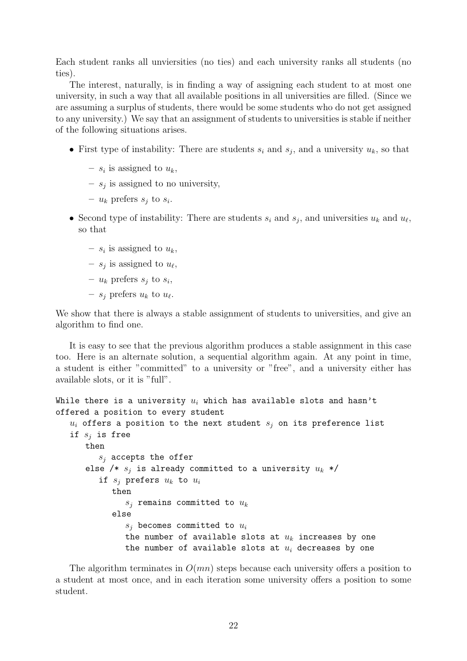Each student ranks all unviersities (no ties) and each university ranks all students (no ties).

The interest, naturally, is in finding a way of assigning each student to at most one university, in such a way that all available positions in all universities are filled. (Since we are assuming a surplus of students, there would be some students who do not get assigned to any university.) We say that an assignment of students to universities is stable if neither of the following situations arises.

- First type of instability: There are students  $s_i$  and  $s_j$ , and a university  $u_k$ , so that
	- $s_i$  is assigned to  $u_k$ ,
	- $s_j$  is assigned to no university,
	- $u_k$  prefers  $s_j$  to  $s_i$ .
- Second type of instability: There are students  $s_i$  and  $s_j$ , and universities  $u_k$  and  $u_\ell$ , so that
	- $s_i$  is assigned to  $u_k$ ,
	- $s_j$  is assigned to  $u_\ell$ ,
	- $u_k$  prefers  $s_j$  to  $s_i$ ,
	- $s_j$  prefers  $u_k$  to  $u_\ell$ .

We show that there is always a stable assignment of students to universities, and give an algorithm to find one.

It is easy to see that the previous algorithm produces a stable assignment in this case too. Here is an alternate solution, a sequential algorithm again. At any point in time, a student is either "committed" to a university or "free", and a university either has available slots, or it is "full".

```
While there is a university u_i which has available slots and hasn't
offered a position to every student
   u_i offers a position to the next student s_j on its preference list
   if s_i is free
      then
         s_i accepts the offer
      else /* s_i is already committed to a university u_k */
         if s_j prefers u_k to u_ithen
               s_i remains committed to u_kelse
               s_i becomes committed to u_ithe number of available slots at u_k increases by one
               the number of available slots at u_i decreases by one
```
The algorithm terminates in  $O(mn)$  steps because each university offers a position to a student at most once, and in each iteration some university offers a position to some student.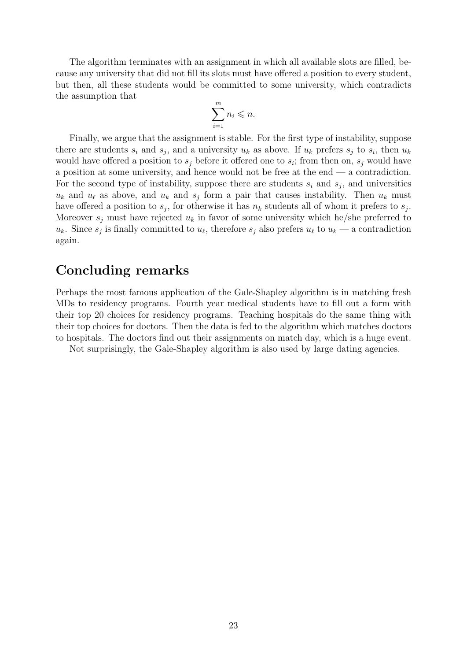The algorithm terminates with an assignment in which all available slots are filled, because any university that did not fill its slots must have offered a position to every student, but then, all these students would be committed to some university, which contradicts the assumption that

$$
\sum_{i=1}^{m} n_i \leqslant n.
$$

Finally, we argue that the assignment is stable. For the first type of instability, suppose there are students  $s_i$  and  $s_j$ , and a university  $u_k$  as above. If  $u_k$  prefers  $s_j$  to  $s_i$ , then  $u_k$ would have offered a position to  $s_j$  before it offered one to  $s_i$ ; from then on,  $s_j$  would have a position at some university, and hence would not be free at the end — a contradiction. For the second type of instability, suppose there are students  $s_i$  and  $s_j$ , and universities  $u_k$  and  $u_\ell$  as above, and  $u_k$  and  $s_j$  form a pair that causes instability. Then  $u_k$  must have offered a position to  $s_j$ , for otherwise it has  $n_k$  students all of whom it prefers to  $s_j$ . Moreover  $s_i$  must have rejected  $u_k$  in favor of some university which he/she preferred to  $u_k$ . Since  $s_j$  is finally committed to  $u_\ell$ , therefore  $s_j$  also prefers  $u_\ell$  to  $u_k$  — a contradiction again.

# Concluding remarks

Perhaps the most famous application of the Gale-Shapley algorithm is in matching fresh MDs to residency programs. Fourth year medical students have to fill out a form with their top 20 choices for residency programs. Teaching hospitals do the same thing with their top choices for doctors. Then the data is fed to the algorithm which matches doctors to hospitals. The doctors find out their assignments on match day, which is a huge event.

Not surprisingly, the Gale-Shapley algorithm is also used by large dating agencies.